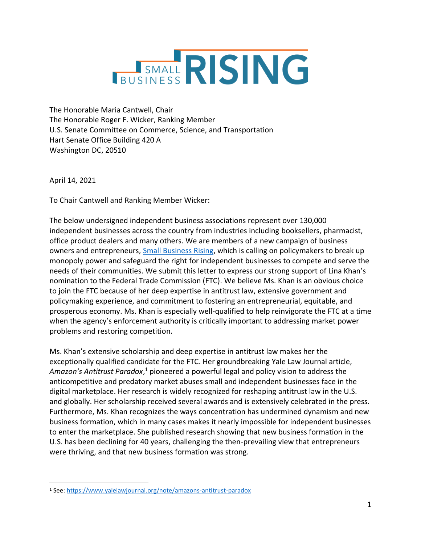

The Honorable Maria Cantwell, Chair The Honorable Roger F. Wicker, Ranking Member U.S. Senate Committee on Commerce, Science, and Transportation Hart Senate Office Building 420 A Washington DC, 20510

April 14, 2021

To Chair Cantwell and Ranking Member Wicker:

The below undersigned independent business associations represent over 130,000 independent businesses across the country from industries including booksellers, pharmacist, office product dealers and many others. We are members of a new campaign of business owners and entrepreneurs, [Small Business Rising,](https://www.smallbusinessrising.net/) which is calling on policymakers to break up monopoly power and safeguard the right for independent businesses to compete and serve the needs of their communities. We submit this letter to express our strong support of Lina Khan's nomination to the Federal Trade Commission (FTC). We believe Ms. Khan is an obvious choice to join the FTC because of her deep expertise in antitrust law, extensive government and policymaking experience, and commitment to fostering an entrepreneurial, equitable, and prosperous economy. Ms. Khan is especially well-qualified to help reinvigorate the FTC at a time when the agency's enforcement authority is critically important to addressing market power problems and restoring competition.

Ms. Khan's extensive scholarship and deep expertise in antitrust law makes her the exceptionally qualified candidate for the FTC. Her groundbreaking Yale Law Journal article, Amazon's Antitrust Paradox,<sup>1</sup> pioneered a powerful legal and policy vision to address the anticompetitive and predatory market abuses small and independent businesses face in the digital marketplace. Her research is widely recognized for reshaping antitrust law in the U.S. and globally. Her scholarship received several awards and is extensively celebrated in the press. Furthermore, Ms. Khan recognizes the ways concentration has undermined dynamism and new business formation, which in many cases makes it nearly impossible for independent businesses to enter the marketplace. She published research showing that new business formation in the U.S. has been declining for 40 years, challenging the then-prevailing view that entrepreneurs were thriving, and that new business formation was strong.

<sup>1</sup> See:<https://www.yalelawjournal.org/note/amazons-antitrust-paradox>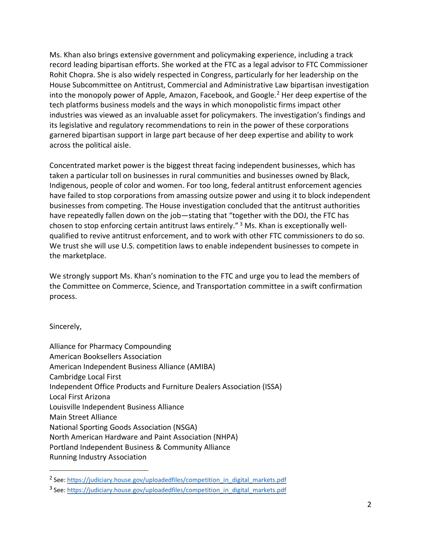Ms. Khan also brings extensive government and policymaking experience, including a track record leading bipartisan efforts. She worked at the FTC as a legal advisor to FTC Commissioner Rohit Chopra. She is also widely respected in Congress, particularly for her leadership on the House Subcommittee on Antitrust, Commercial and Administrative Law bipartisan investigation into the monopoly power of Apple, Amazon, Facebook, and Google. $<sup>2</sup>$  Her deep expertise of the</sup> tech platforms business models and the ways in which monopolistic firms impact other industries was viewed as an invaluable asset for policymakers. The investigation's findings and its legislative and regulatory recommendations to rein in the power of these corporations garnered bipartisan support in large part because of her deep expertise and ability to work across the political aisle.

Concentrated market power is the biggest threat facing independent businesses, which has taken a particular toll on businesses in rural communities and businesses owned by Black, Indigenous, people of color and women. For too long, federal antitrust enforcement agencies have failed to stop corporations from amassing outsize power and using it to block independent businesses from competing. The House investigation concluded that the antitrust authorities have repeatedly fallen down on the job—stating that "together with the DOJ, the FTC has chosen to stop enforcing certain antitrust laws entirely." <sup>3</sup> Ms. Khan is exceptionally wellqualified to revive antitrust enforcement, and to work with other FTC commissioners to do so. We trust she will use U.S. competition laws to enable independent businesses to compete in the marketplace.

We strongly support Ms. Khan's nomination to the FTC and urge you to lead the members of the Committee on Commerce, Science, and Transportation committee in a swift confirmation process.

Sincerely,

Alliance for Pharmacy Compounding American Booksellers Association American Independent Business Alliance (AMIBA) Cambridge Local First Independent Office Products and Furniture Dealers Association (ISSA) Local First Arizona Louisville Independent Business Alliance Main Street Alliance National Sporting Goods Association (NSGA) North American Hardware and Paint Association (NHPA) Portland Independent Business & Community Alliance Running Industry Association

<sup>&</sup>lt;sup>2</sup> See: [https://judiciary.house.gov/uploadedfiles/competition\\_in\\_digital\\_markets.pdf](https://judiciary.house.gov/uploadedfiles/competition_in_digital_markets.pdf)

<sup>&</sup>lt;sup>3</sup> See: [https://judiciary.house.gov/uploadedfiles/competition\\_in\\_digital\\_markets.pdf](https://judiciary.house.gov/uploadedfiles/competition_in_digital_markets.pdf)